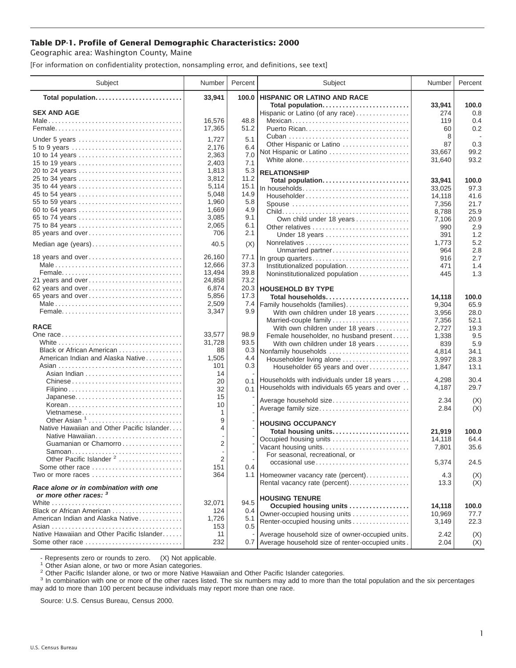## **Table DP-1. Profile of General Demographic Characteristics: 2000**

Geographic area: Washington County, Maine

[For information on confidentiality protection, nonsampling error, and definitions, see text]

| Subject                                                                | Number         | Percent      | Subject                                              | Number    | Percent    |
|------------------------------------------------------------------------|----------------|--------------|------------------------------------------------------|-----------|------------|
| Total population                                                       | 33,941         | 100.0        | <b>HISPANIC OR LATINO AND RACE</b>                   |           |            |
|                                                                        |                |              | Total population                                     | 33,941    | 100.0      |
| <b>SEX AND AGE</b>                                                     |                |              | Hispanic or Latino (of any race)                     | 274       | 0.8        |
|                                                                        | 16,576         | 48.8<br>51.2 | Mexican<br>Puerto Rican                              | 119<br>60 | 0.4<br>0.2 |
|                                                                        | 17,365         |              |                                                      | 8         |            |
| Under 5 years                                                          | 1,727          | 5.1          | Other Hispanic or Latino                             | 87        | 0.3        |
| 5 to 9 years                                                           | 2,176          | 6.4          | Not Hispanic or Latino                               | 33,667    | 99.2       |
| 10 to 14 years                                                         | 2,363          | 7.0          | White alone                                          | 31,640    | 93.2       |
| 15 to 19 years                                                         | 2,403          | 7.1          |                                                      |           |            |
| 20 to 24 years                                                         | 1,813          | 5.3          | <b>RELATIONSHIP</b>                                  |           |            |
| 25 to 34 years                                                         | 3,812          | 11.2         | Total population                                     | 33,941    | 100.0      |
| 35 to 44 years                                                         | 5,114          | 15.1         | In households                                        | 33,025    | 97.3       |
| 45 to 54 years                                                         | 5,048          | 14.9         | Householder                                          | 14,118    | 41.6       |
| 55 to 59 years                                                         | 1,960          | 5.8          | Spouse                                               | 7,356     | 21.7       |
| 60 to 64 years                                                         | 1,669          | 4.9          |                                                      | 8,788     | 25.9       |
| 65 to 74 years                                                         | 3,085          | 9.1          | Own child under 18 years                             | 7,106     | 20.9       |
| 75 to 84 years                                                         | 2,065          | 6.1          | Other relatives                                      | 990       | 2.9        |
| 85 years and over                                                      | 706            | 2.1          | Under 18 years                                       | 391       | 1.2        |
| Median age (years)                                                     | 40.5           | (X)          |                                                      | 1,773     | 5.2        |
|                                                                        |                |              | Unmarried partner                                    | 964       | 2.8        |
| 18 years and over                                                      | 26,160         | 77.1         | In group quarters                                    | 916       | 2.7        |
|                                                                        | 12,666         | 37.3         | Institutionalized population                         | 471       | 1.4        |
|                                                                        | 13,494         | 39.8         | Noninstitutionalized population                      | 445       | 1.3        |
| 21 years and over                                                      | 24,858         | 73.2         |                                                      |           |            |
| 62 years and over                                                      | 6,874          | 20.3         | <b>HOUSEHOLD BY TYPE</b>                             |           |            |
| 65 years and over                                                      | 5,856          | 17.3         | Total households                                     | 14,118    | 100.0      |
|                                                                        | 2,509          | 7.4          | Family households (families)                         | 9,304     | 65.9       |
|                                                                        | 3,347          | 9.9          | With own children under 18 years                     | 3,956     | 28.0       |
|                                                                        |                |              | Married-couple family                                | 7,356     | 52.1       |
| <b>RACE</b>                                                            |                |              | With own children under 18 years                     | 2,727     | 19.3       |
|                                                                        | 33,577         | 98.9         | Female householder, no husband present               | 1,338     | 9.5        |
|                                                                        | 31,728         | 93.5         | With own children under 18 years                     | 839       | 5.9        |
| Black or African American                                              | 88             | 0.3          | Nonfamily households                                 | 4,814     | 34.1       |
| American Indian and Alaska Native                                      | 1,505          | 4.4          | Householder living alone                             | 3,997     | 28.3       |
|                                                                        | 101            | 0.3          | Householder 65 years and over                        | 1,847     | 13.1       |
|                                                                        | 14             |              |                                                      |           |            |
|                                                                        | 20             | 0.1          | Households with individuals under 18 years           | 4,298     | 30.4       |
|                                                                        | 32             | 0.1          | Households with individuals 65 years and over        | 4,187     | 29.7       |
| Japanese                                                               | 15             |              | Average household size                               | 2.34      | (X)        |
| Korean                                                                 | 10             |              | Average family size                                  | 2.84      | (X)        |
| Vietnamese                                                             | 1              |              |                                                      |           |            |
| Other Asian <sup>1</sup>                                               | 9              |              | <b>HOUSING OCCUPANCY</b>                             |           |            |
| Native Hawaiian and Other Pacific Islander                             | 4              |              | Total housing units                                  | 21,919    | 100.0      |
| Native Hawaiian                                                        |                |              | Occupied housing units                               | 14,118    | 64.4       |
| Guamanian or Chamorro                                                  | $\overline{2}$ |              | Vacant housing units                                 | 7,801     | 35.6       |
| Samoan                                                                 |                |              | For seasonal, recreational, or                       |           |            |
| Other Pacific Islander <sup>2</sup>                                    | 2              |              | occasional use                                       | 5,374     | 24.5       |
| Some other race                                                        | 151            | 0.4          |                                                      |           |            |
| Two or more races $\dots\dots\dots\dots\dots\dots\dots\dots\dots\dots$ | 364            |              | 1.1   Homeowner vacancy rate (percent)               | 4.3       | (X)        |
| Race alone or in combination with one                                  |                |              | Rental vacancy rate (percent)                        | 13.3      | (X)        |
| or more other races: 3                                                 |                |              | <b>HOUSING TENURE</b>                                |           |            |
|                                                                        | 32,071         | 94.5         | Occupied housing units                               | 14,118    | 100.0      |
| Black or African American                                              | 124            | 0.4          | Owner-occupied housing units                         | 10,969    | 77.7       |
| American Indian and Alaska Native                                      | 1,726          | 5.1          | Renter-occupied housing units                        | 3,149     | 22.3       |
| Native Hawaiian and Other Pacific Islander                             | 153            | 0.5          |                                                      |           |            |
|                                                                        | 11             |              | Average household size of owner-occupied units.      | 2.42      | (X)        |
| Some other race                                                        | 232            |              | 0.7 Average household size of renter-occupied units. | 2.04      | (X)        |

- Represents zero or rounds to zero. (X) Not applicable.<br><sup>1</sup> Other Asian alone, or two or more Asian categories.

<sup>2</sup> Other Pacific Islander alone, or two or more Native Hawaiian and Other Pacific Islander categories.<br><sup>3</sup> In combination with one or more of the other races listed. The six numbers may add to more than the total populati may add to more than 100 percent because individuals may report more than one race.

Source: U.S. Census Bureau, Census 2000.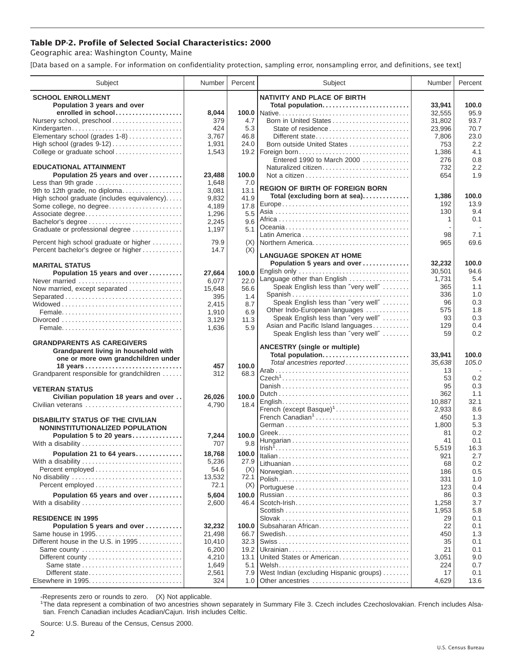## **Table DP-2. Profile of Selected Social Characteristics: 2000**

Geographic area: Washington County, Maine

[Data based on a sample. For information on confidentiality protection, sampling error, nonsampling error, and definitions, see text]

| Subject                                     | Number         | Percent     | Subject                                           | Number     | Percent       |
|---------------------------------------------|----------------|-------------|---------------------------------------------------|------------|---------------|
| <b>SCHOOL ENROLLMENT</b>                    |                |             | <b>NATIVITY AND PLACE OF BIRTH</b>                |            |               |
| Population 3 years and over                 |                |             | Total population                                  | 33.941     | 100.0         |
| enrolled in school                          | 8,044          |             |                                                   | 32,555     | 95.9          |
| Nursery school, preschool                   | 379            | 4.7         | Born in United States                             | 31,802     | 93.7          |
| Kindergarten                                | 424            | 5.3         | State of residence                                | 23,996     | 70.7          |
| Elementary school (grades 1-8)              | 3,767          | 46.8        | Different state                                   | 7,806      | 23.0          |
|                                             | 1,931          | 24.0        | Born outside United States                        | 753        | 2.2           |
| College or graduate school                  | 1,543          | 19.2        | Foreign born                                      | 1,386      | 4.1           |
| <b>EDUCATIONAL ATTAINMENT</b>               |                |             | Entered 1990 to March 2000<br>Naturalized citizen | 276<br>732 | 0.8<br>2.2    |
| Population 25 years and over                | 23,488         | 100.0       |                                                   | 654        | 1.9           |
| Less than 9th grade                         | 1,648          | 7.0         |                                                   |            |               |
| 9th to 12th grade, no diploma               | 3,081          | 13.1        | <b>REGION OF BIRTH OF FOREIGN BORN</b>            |            |               |
| High school graduate (includes equivalency) | 9,832          | 41.9        | Total (excluding born at sea)                     | 1,386      | 100.0         |
| Some college, no degree                     | 4,189          | 17.8        |                                                   | 192        | 13.9          |
| Associate degree                            | 1,296          | 5.5         |                                                   | 130        | 9.4           |
| Bachelor's degree                           | 2,245          | 9.6         |                                                   | 1          | 0.1<br>$\sim$ |
| Graduate or professional degree             | 1,197          | 5.1         |                                                   | 98         | 7.1           |
| Percent high school graduate or higher      | 79.9           | (X)         | Northern America                                  | 965        | 69.6          |
| Percent bachelor's degree or higher         | 14.7           | (X)         |                                                   |            |               |
|                                             |                |             | <b>LANGUAGE SPOKEN AT HOME</b>                    |            |               |
| <b>MARITAL STATUS</b>                       |                |             | Population 5 years and over                       | 32,232     | 100.0         |
| Population 15 years and over                | 27,664         | 100.0       | English only                                      | 30,501     | 94.6          |
| Never married                               | 6,077          | 22.0        | Language other than English                       | 1,731      | 5.4           |
| Now married, except separated               | 15,648         | 56.6        | Speak English less than "very well"               | 365        | 1.1           |
| Separated                                   | 395            | 1.4         | Spanish<br>Speak English less than "very well"    | 336<br>96  | 1.0<br>0.3    |
|                                             | 2,415          | 8.7         | Other Indo-European languages                     | 575        | 1.8           |
|                                             | 1,910          | 6.9<br>11.3 | Speak English less than "very well"               | 93         | 0.3           |
|                                             | 3,129<br>1,636 | 5.9         | Asian and Pacific Island languages                | 129        | 0.4           |
|                                             |                |             | Speak English less than "very well"               | 59         | 0.2           |
| <b>GRANDPARENTS AS CAREGIVERS</b>           |                |             |                                                   |            |               |
| Grandparent living in household with        |                |             | <b>ANCESTRY (single or multiple)</b>              | 33,941     | 100.0         |
| one or more own grandchildren under         |                |             | Total population<br>Total ancestries reported     | 35,638     | 105.0         |
| 18 years                                    | 457            | 100.0       |                                                   | 13         |               |
| Grandparent responsible for grandchildren   | 312            | 68.3        |                                                   | 53         | 0.2           |
| <b>VETERAN STATUS</b>                       |                |             |                                                   | 95         | 0.3           |
| Civilian population 18 years and over       | 26,026         | 100.0       |                                                   | 362        | 1.1           |
| Civilian veterans                           | 4,790          | 18.4        |                                                   | 10,887     | 32.1          |
|                                             |                |             | French (except Basque) <sup>1</sup>               | 2,933      | 8.6           |
| <b>DISABILITY STATUS OF THE CIVILIAN</b>    |                |             | French Canadian <sup>1</sup>                      | 450        | 1.3           |
| NONINSTITUTIONALIZED POPULATION             |                |             |                                                   | 1,800      | 5.3           |
| Population 5 to 20 years                    | 7,244          | 100.0       |                                                   | 81<br>41   | 0.2<br>0.1    |
| With a disability                           | 707            | 9.8         |                                                   | 5,519      | 16.3          |
| Population 21 to 64 years                   | 18,768         | 100.0       |                                                   | 921        | 2.7           |
| With a disability                           | 5,236          | 27.9        |                                                   | 68         | 0.2           |
| Percent employed                            | 54.6           | (X)         | Norwegian                                         | 186        | 0.5           |
| No disability                               | 13,532         | 72.1        |                                                   | 331        | 1.0           |
|                                             | 72.1           | (X)         |                                                   | 123        | 0.4           |
| Population 65 years and over                | 5,604          | 100.0       |                                                   | 86         | 0.3           |
| With a disability                           | 2,600          | 46.4        |                                                   | 1,258      | 3.7           |
| <b>RESIDENCE IN 1995</b>                    |                |             |                                                   | 1,953      | 5.8           |
| Population 5 years and over                 | 32,232         | 100.0       | Subsaharan African                                | 29<br>22   | 0.1<br>0.1    |
| Same house in 1995                          | 21,498         | 66.7        |                                                   | 450        | 1.3           |
| Different house in the U.S. in 1995         | 10,410         | 32.3        |                                                   | 35         | 0.1           |
| Same county                                 | 6,200          | 19.2        |                                                   | 21         | 0.1           |
|                                             | 4,210          | 13.1        | United States or American                         | 3,051      | 9.0           |
|                                             | 1,649          | 5.1         |                                                   | 224        | 0.7           |
| Different state                             | 2,561          | 7.9         | West Indian (excluding Hispanic groups)           | 17         | 0.1           |
| Elsewhere in 1995                           | 324            | 1.0         | Other ancestries                                  | 4,629      | 13.6          |

-Represents zero or rounds to zero. (X) Not applicable. 1 The data represent a combination of two ancestries shown separately in Summary File 3. Czech includes Czechoslovakian. French includes Alsatian. French Canadian includes Acadian/Cajun. Irish includes Celtic.

Source: U.S. Bureau of the Census, Census 2000.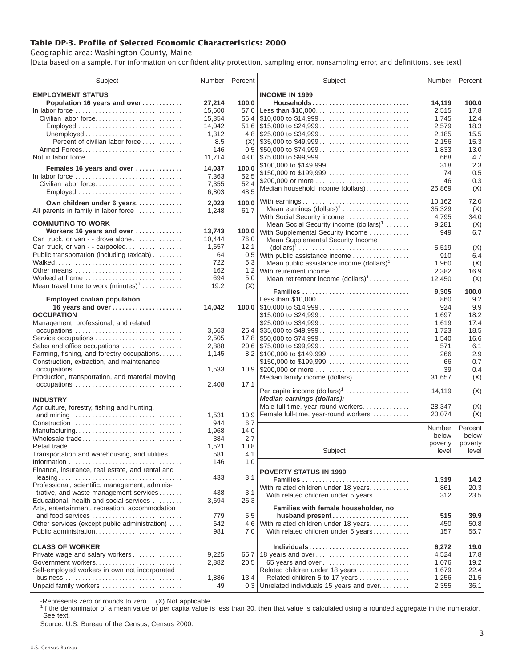## **Table DP-3. Profile of Selected Economic Characteristics: 2000**

Geographic area: Washington County, Maine

[Data based on a sample. For information on confidentiality protection, sampling error, nonsampling error, and definitions, see text]

| Subject                                         | Number      | Percent     | Subject                                                                                | Number          | Percent          |
|-------------------------------------------------|-------------|-------------|----------------------------------------------------------------------------------------|-----------------|------------------|
| <b>EMPLOYMENT STATUS</b>                        |             |             | <b>INCOME IN 1999</b>                                                                  |                 |                  |
| Population 16 years and over                    | 27,214      | 100.0       | Households                                                                             | 14.119          | 100.0            |
| In labor force                                  | 15,500      | 57.0        | Less than \$10,000                                                                     | 2,515           | 17.8             |
| Civilian labor force                            | 15,354      |             |                                                                                        | 1,745           | 12.4             |
| Employed                                        | 14,042      |             |                                                                                        | 2,579           | 18.3             |
|                                                 | 1,312       |             |                                                                                        | 2,185           | 15.5             |
| Percent of civilian labor force                 | 8.5         | (X)         | $\frac{1}{2}$ \$35,000 to \$49,999                                                     | 2,156           | 15.3             |
|                                                 | 146         |             | $0.5$ \\$50,000 to \$74,999                                                            | 1,833           | 13.0             |
| Not in labor force                              | 11,714      |             |                                                                                        | 668             | 4.7              |
|                                                 |             |             | \$100,000 to \$149,999                                                                 | 318             | 2.3              |
| Females 16 years and over                       | 14,037      | 100.0       |                                                                                        | 74              | 0.5              |
| In labor force                                  | 7,363       | 52.5        | \$200,000 or more                                                                      | 46              | 0.3              |
| Civilian labor force                            | 7,355       | 52.4        | Median household income (dollars)                                                      | 25,869          |                  |
| Employed                                        | 6,803       | 48.5        |                                                                                        |                 | (X)              |
| Own children under 6 years                      | 2,023       | 100.0       |                                                                                        | 10,162          | 72.0             |
| All parents in family in labor force            | 1,248       | 61.7        | Mean earnings $(dollars)1$                                                             | 35,329          | (X)              |
|                                                 |             |             | With Social Security income                                                            | 4,795           | 34.0             |
| <b>COMMUTING TO WORK</b>                        |             |             | Mean Social Security income (dollars) <sup>1</sup>                                     | 9,281           | (X)              |
| Workers 16 years and over                       | 13,743      |             | 100.0 With Supplemental Security Income                                                | 949             | 6.7              |
| Car, truck, or van - - drove alone              | 10,444      | 76.0        | Mean Supplemental Security Income                                                      |                 |                  |
| Car, truck, or van - - carpooled                | 1,657       | 12.1        | $\text{(dollars)}^1 \dots \dots \dots \dots \dots \dots \dots \dots \dots \dots \dots$ | 5,519           | (X)              |
| Public transportation (including taxicab)       | 64          | 0.5         | With public assistance income                                                          | 910             | 6.4              |
|                                                 | 722         | 5.3         | Mean public assistance income $(dollars)1 \ldots$ .                                    | 1,960           | (X)              |
| Other means                                     | 162         | 1.2         | With retirement income                                                                 | 2,382           | 16.9             |
| Worked at home                                  | 694         | 5.0         | Mean retirement income $(dollars)1$                                                    | 12,450          | (X)              |
| Mean travel time to work $(minutes)^1$          | 19.2        | (X)         |                                                                                        |                 |                  |
|                                                 |             |             | Families                                                                               | 9,305           | 100.0            |
| <b>Employed civilian population</b>             |             |             | Less than \$10,000                                                                     | 860             | 9.2              |
| 16 years and over                               | 14,042      |             |                                                                                        | 924             | 9.9              |
| <b>OCCUPATION</b>                               |             |             | \$15,000 to \$24,999                                                                   | 1,697           | 18.2             |
| Management, professional, and related           |             |             | \$25,000 to \$34,999                                                                   | 1,619           | 17.4             |
|                                                 | 3,563       |             |                                                                                        | 1,723           | 18.5             |
| Service occupations                             | 2,505       |             |                                                                                        | 1,540           | 16.6             |
| Sales and office occupations                    | 2,888       |             | 20.6 \$75,000 to \$99,999                                                              | 571             | 6.1              |
| Farming, fishing, and forestry occupations      | 1,145       |             |                                                                                        | 266             | 2.9              |
| Construction, extraction, and maintenance       |             |             | \$150,000 to \$199,999                                                                 | 66              | 0.7              |
| occupations                                     | 1,533       |             | 10.9 \$200,000 or more                                                                 | 39              | 0.4              |
| Production, transportation, and material moving |             |             | Median family income (dollars)                                                         | 31,657          | (X)              |
| occupations                                     | 2,408       | 17.1        |                                                                                        |                 |                  |
|                                                 |             |             | Per capita income $(dollars)1$                                                         | 14,119          | (X)              |
| <b>INDUSTRY</b>                                 |             |             | Median earnings (dollars):                                                             |                 |                  |
| Agriculture, forestry, fishing and hunting,     |             |             | Male full-time, year-round workers                                                     | 28,347          | (X)              |
|                                                 | 1,531       | 10.9        | Female full-time, year-round workers                                                   | 20,074          | (X)              |
|                                                 | 944         | 6.7         |                                                                                        |                 |                  |
| Manufacturing                                   | 1,968       | 14.0        |                                                                                        | Number<br>below | Percent<br>below |
| Wholesale trade                                 | 384         | 2.7         |                                                                                        | poverty         | poverty          |
|                                                 | 1,521       | 10.8        | Subject                                                                                | level           | level            |
| Transportation and warehousing, and utilities   | 581         | 4.1         |                                                                                        |                 |                  |
|                                                 | 146         | 1.0         |                                                                                        |                 |                  |
| Finance, insurance, real estate, and rental and |             |             | <b>POVERTY STATUS IN 1999</b>                                                          |                 |                  |
|                                                 | 433         | 3.1         | Families                                                                               | 1,319           | 14.2             |
| Professional, scientific, management, adminis-  |             |             | With related children under 18 years                                                   | 861             | 20.3             |
| trative, and waste management services          | 438         | 3.1         | With related children under 5 years                                                    | 312             | 23.5             |
| Educational, health and social services         | 3,694       | 26.3        |                                                                                        |                 |                  |
| Arts, entertainment, recreation, accommodation  |             |             | Families with female householder, no                                                   |                 |                  |
| and food services                               | 779         | 5.5         | husband present                                                                        | 515             | 39.9             |
| Other services (except public administration)   | 642         |             | 4.6 With related children under 18 years                                               | 450             | 50.8             |
| Public administration                           | 981         | 7.0         | With related children under 5 years                                                    | 157             | 55.7             |
|                                                 |             |             |                                                                                        |                 |                  |
| <b>CLASS OF WORKER</b>                          |             |             | Individuals                                                                            | 6,272           | 19.0             |
| Private wage and salary workers                 | 9,225       |             | 65.7   18 years and over                                                               | 4,524           | 17.8<br>19.2     |
| Government workers                              | 2,882       | 20.5        | 65 years and over                                                                      | 1,076           |                  |
| Self-employed workers in own not incorporated   |             |             | Related children under 18 years                                                        | 1,679           | 22.4             |
| Unpaid family workers                           | 1,886<br>49 | 13.4<br>0.3 | Related children 5 to 17 years<br>Unrelated individuals 15 years and over              | 1,256<br>2,355  | 21.5<br>36.1     |
|                                                 |             |             |                                                                                        |                 |                  |

-Represents zero or rounds to zero. (X) Not applicable.

<sup>1</sup>If the denominator of a mean value or per capita value is less than 30, then that value is calculated using a rounded aggregate in the numerator. See text.

Source: U.S. Bureau of the Census, Census 2000.